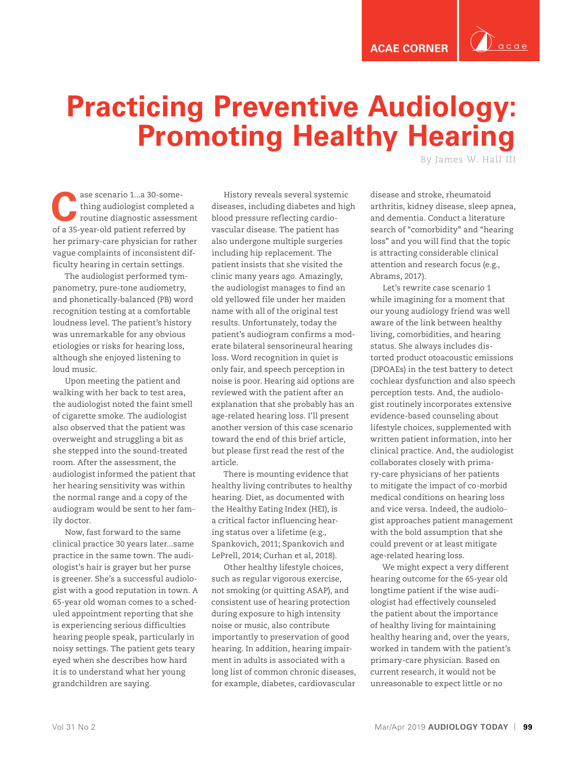

## **Practicing Preventive Audiology: Promoting Healthy Hearing**

By James W. Hall III

ase scenario 1...a 30-some-<br>thing audiologist completed a<br>routine diagnostic assessment thing audiologist completed a of a 35-year-old patient referred by her primary-care physician for rather vague complaints of inconsistent difficulty hearing in certain settings.

The audiologist performed tympanometry, pure-tone audiometry, and phonetically-balanced (PB) word recognition testing at a comfortable loudness level. The patient's history was unremarkable for any obvious etiologies or risks for hearing loss, although she enjoyed listening to loud music.

Upon meeting the patient and walking with her back to test area, the audiologist noted the faint smell of cigarette smoke. The audiologist also observed that the patient was overweight and struggling a bit as she stepped into the sound-treated room. After the assessment, the audiologist informed the patient that her hearing sensitivity was within the normal range and a copy of the audiogram would be sent to her family doctor.

Now, fast forward to the same clinical practice 30 years later...same practice in the same town. The audiologist's hair is grayer but her purse is greener. She's a successful audiologist with a good reputation in town. A 65-year old woman comes to a scheduled appointment reporting that she is experiencing serious difficulties hearing people speak, particularly in noisy settings. The patient gets teary eyed when she describes how hard it is to understand what her young grandchildren are saying.

History reveals several systemic diseases, including diabetes and high blood pressure reflecting cardiovascular disease. The patient has also undergone multiple surgeries including hip replacement. The patient insists that she visited the clinic many years ago. Amazingly, the audiologist manages to find an old yellowed file under her maiden name with all of the original test results. Unfortunately, today the patient's audiogram confirms a moderate bilateral sensorineural hearing loss. Word recognition in quiet is only fair, and speech perception in noise is poor. Hearing aid options are reviewed with the patient after an explanation that she probably has an age-related hearing loss. I'll present another version of this case scenario toward the end of this brief article, but please first read the rest of the article.

There is mounting evidence that healthy living contributes to healthy hearing. Diet, as documented with the Healthy Eating Index (HEI), is a critical factor influencing hearing status over a lifetime (e.g., Spankovich, 2011; Spankovich and LePrell, 2014; Curhan et al, 2018).

Other healthy lifestyle choices, such as regular vigorous exercise, not smoking (or quitting ASAP), and consistent use of hearing protection during exposure to high intensity noise or music, also contribute importantly to preservation of good hearing. In addition, hearing impairment in adults is associated with a long list of common chronic diseases, for example, diabetes, cardiovascular

disease and stroke, rheumatoid arthritis, kidney disease, sleep apnea, and dementia. Conduct a literature search of "comorbidity" and "hearing loss" and you will find that the topic is attracting considerable clinical attention and research focus (e.g., Abrams, 2017).

Let's rewrite case scenario 1 while imagining for a moment that our young audiology friend was well aware of the link between healthy living, comorbidities, and hearing status. She always includes distorted product otoacoustic emissions (DPOAEs) in the test battery to detect cochlear dysfunction and also speech perception tests. And, the audiologist routinely incorporates extensive evidence-based counseling about lifestyle choices, supplemented with written patient information, into her clinical practice. And, the audiologist collaborates closely with primary-care physicians of her patients to mitigate the impact of co-morbid medical conditions on hearing loss and vice versa. Indeed, the audiologist approaches patient management with the bold assumption that she could prevent or at least mitigate age-related hearing loss.

We might expect a very different hearing outcome for the 65-year old longtime patient if the wise audiologist had effectively counseled the patient about the importance of healthy living for maintaining healthy hearing and, over the years, worked in tandem with the patient's primary-care physician. Based on current research, it would not be unreasonable to expect little or no